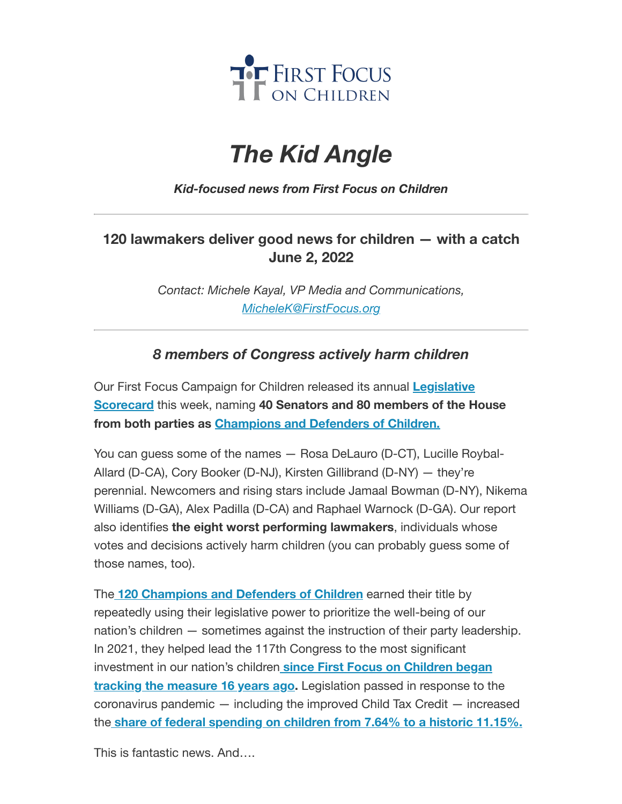

## *The Kid Angle*

*Kid-focused news from First Focus on Children*

## **120 lawmakers deliver good news for children — with a catch June 2, 2022**

*Contact: Michele Kayal, VP Media and Communications, [MicheleK@FirstFocus.org](mailto:MicheleK@firstfocus.org)*

## *8 members of Congress actively harm children*

Our First [Focus Campaign](https://action.campaignforchildren.org/r?u=N5wLK4mVR47V4XFXadiAckOvpaNoS18G4pJplaNEfh1ajTFzYnVakeJzja3HgmcZ&e=6d50ef9bac605c372bd31a2e7c9cacfd&utm_source=ffcc&utm_medium=email&utm_campaign=_103_champions&n=2&test_email=1) for Children released its annual **Legislative Scorecard** this week, naming **40 Senators and 80 members of the House from both parties as [Champions](https://action.campaignforchildren.org/r?u=N5wLK4mVR47V4XFXadiAckOvpaNoS18G4pJplaNEfh1ajTFzYnVakeJzja3HgmcZ&e=6d50ef9bac605c372bd31a2e7c9cacfd&utm_source=ffcc&utm_medium=email&utm_campaign=_103_champions&n=3&test_email=1) and Defenders of Children.**

You can guess some of the names — Rosa DeLauro (D-CT), Lucille Roybal-Allard (D-CA), Cory Booker (D-NJ), Kirsten Gillibrand (D-NY) — they're perennial. Newcomers and rising stars include Jamaal Bowman (D-NY), Nikema Williams (D-GA), Alex Padilla (D-CA) and Raphael Warnock (D-GA). Our report also identifies **the eight worst performing lawmakers**, individuals whose votes and decisions actively harm children (you can probably guess some of those names, too).

The **120 [Champions](https://action.campaignforchildren.org/r?u=N5wLK4mVR47V4XFXadiAckOvpaNoS18G4pJplaNEfh1ajTFzYnVakeJzja3HgmcZ&e=6d50ef9bac605c372bd31a2e7c9cacfd&utm_source=ffcc&utm_medium=email&utm_campaign=_103_champions&n=4&test_email=1) and Defenders of Children** earned their title by repeatedly using their legislative power to prioritize the well-being of our nation's children — sometimes against the instruction of their party leadership. In 2021, they helped lead the 117th Congress to the most significant investment in our [nation's children](https://action.campaignforchildren.org/r?u=FzF-KU0ygDWc21UK_uySejzGzcNIqw_uw330mZshTaj_SEITh-uobp4jSbwsYEDSPVXFvJjyJ5gyGLscJWb2dQ&e=6d50ef9bac605c372bd31a2e7c9cacfd&utm_source=ffcc&utm_medium=email&utm_campaign=_103_champions&n=5&test_email=1) **since First Focus on Children began tracking the measure 16 years ago.** Legislation passed in response to the coronavirus pandemic — including the improved Child Tax Credit — increased the **share of federal [spending](https://action.campaignforchildren.org/r?u=FzF-KU0ygDWc21UK_uySejzGzcNIqw_uw330mZshTaj_SEITh-uobp4jSbwsYEDSPVXFvJjyJ5gyGLscJWb2dQ&e=6d50ef9bac605c372bd31a2e7c9cacfd&utm_source=ffcc&utm_medium=email&utm_campaign=_103_champions&n=6&test_email=1) on children from 7.64% to a historic 11.15%.**

This is fantastic news. And….